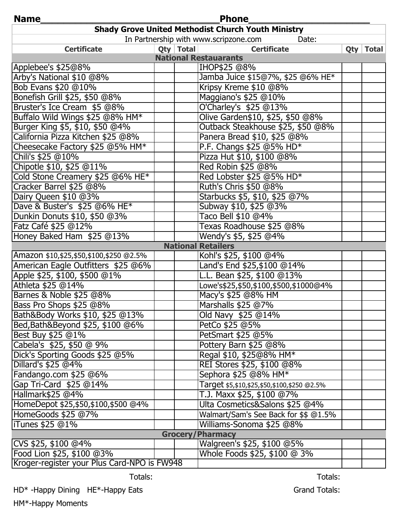| Name<br><b>Phone</b>                                      |             |                                                   |  |             |
|-----------------------------------------------------------|-------------|---------------------------------------------------|--|-------------|
| <b>Shady Grove United Methodist Church Youth Ministry</b> |             |                                                   |  |             |
| In Partnership with www.scripzone.com<br>Date:            |             |                                                   |  |             |
| <b>Certificate</b>                                        | Qty   Total | <b>Certificate</b>                                |  | Qty   Total |
| <b>National Restauarants</b>                              |             |                                                   |  |             |
| Applebee's \$25@8%                                        |             | IHOP\$25 @8%                                      |  |             |
| Arby's National \$10 @8%                                  |             | Jamba Juice \$15@7%, \$25 @6% HE*                 |  |             |
| Bob Evans \$20 @10%                                       |             | Kripsy Kreme \$10 @8%                             |  |             |
| Bonefish Grill \$25, \$50 @8%                             |             | Maggiano's \$25 @10%                              |  |             |
| Bruster's Ice Cream \$5 @8%                               |             | O'Charley's \$25 @13%                             |  |             |
| Buffalo Wild Wings \$25 @8% HM*                           |             | Olive Garden\$10, \$25, \$50 @8%                  |  |             |
| Burger King \$5, \$10, \$50 @4%                           |             | Outback Steakhouse \$25, \$50 @8%                 |  |             |
| California Pizza Kitchen \$25 @8%                         |             | Panera Bread \$10, \$25 @8%                       |  |             |
| Cheesecake Factory \$25 @5% HM*                           |             | P.F. Changs \$25 @5% HD*                          |  |             |
| Chili's \$25 @10%                                         |             | Pizza Hut \$10, \$100 @8%                         |  |             |
| Chipotle \$10, \$25 @11%                                  |             | Red Robin \$25 @8%                                |  |             |
| Cold Stone Creamery \$25 @6% HE*                          |             | Red Lobster \$25 @5% HD*                          |  |             |
| Cracker Barrel \$25 @8%                                   |             | Ruth's Chris \$50 @8%                             |  |             |
| Dairy Queen \$10 @3%                                      |             | Starbucks \$5, \$10, \$25 @7%                     |  |             |
| Dave & Buster's \$25 @6% HE*                              |             | Subway \$10, \$25 @3%                             |  |             |
| Dunkin Donuts \$10, \$50 @3%                              |             | Taco Bell \$10 @4%                                |  |             |
| Fatz Café \$25 @12%                                       |             | Texas Roadhouse \$25 @8%                          |  |             |
| Honey Baked Ham \$25 @13%                                 |             | Wendy's \$5, \$25 @4%                             |  |             |
| <b>National Retailers</b>                                 |             |                                                   |  |             |
| Amazon \$10, \$25, \$50, \$100, \$250 @ 2.5%              |             | Kohl's \$25, \$100 @4%                            |  |             |
| American Eagle Outfitters \$25 @6%                        |             | Land's End \$25, \$100 @14%                       |  |             |
| Apple \$25, \$100, \$500 @1%                              |             | L.L. Bean \$25, \$100 @13%                        |  |             |
| Athleta \$25 @14%                                         |             | Lowe's\$25,\$50,\$100,\$500,\$1000@4%             |  |             |
| Barnes & Noble \$25 @8%                                   |             | Macy's \$25 @8% HM                                |  |             |
| Bass Pro Shops \$25 @8%                                   |             | Marshalls \$25 @7%                                |  |             |
| Bath&Body Works \$10, \$25 @13%                           |             | Old Navy \$25 @14%                                |  |             |
| Bed, Bath&Beyond \$25, \$100 @6%                          |             | PetCo \$25 @5%                                    |  |             |
| Best Buy \$25 @1%                                         |             | PetSmart \$25 @5%                                 |  |             |
| Cabela's \$25, \$50 @ 9%                                  |             | Pottery Barn \$25 @8%                             |  |             |
| Dick's Sporting Goods \$25 @5%                            |             | Regal \$10, \$25@8% HM*                           |  |             |
| Dillard's \$25 @4%                                        |             | REI Stores \$25, \$100 @8%                        |  |             |
| Fandango.com \$25 @6%                                     |             | Sephora \$25 @8% HM*                              |  |             |
| Gap Tri-Card \$25 @14%                                    |             | Target \$5, \$10, \$25, \$50, \$100, \$250 @ 2.5% |  |             |
| Hallmark\$25 @4%                                          |             | T.J. Maxx \$25, \$100 @7%                         |  |             |
| HomeDepot \$25, \$50, \$100, \$500 @4%                    |             | Ulta Cosmetics&Salons \$25 @4%                    |  |             |
| HomeGoods \$25 @7%                                        |             | Walmart/Sam's See Back for \$\$ @1.5%             |  |             |
| ITunes \$25 @1%                                           |             | Williams-Sonoma \$25 @8%                          |  |             |
| <b>Grocery</b><br><b>Pharmacy</b>                         |             |                                                   |  |             |
| CVS \$25, \$100 @4%                                       |             | Walgreen's \$25, \$100 @5%                        |  |             |
| Food Lion \$25, \$100 @3%                                 |             | Whole Foods \$25, \$100 @ 3%                      |  |             |
| Kroger-register your Plus Card-NPO is FW948               |             |                                                   |  |             |

Totals: Totals: